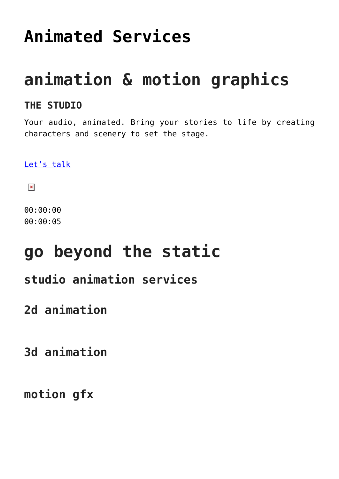### **[Animated Services](https://foodfightstudios.com/the-studio-animation-services/)**

### **animation & motion graphics**

#### **THE STUDIO**

Your audio, animated. Bring your stories to life by creating characters and scenery to set the stage.

[Let's talk](#page--1-0)

 $\pmb{\times}$ 

00:00:00 00:00:05

### **go beyond the static**

### **studio animation services**

**2d animation**

**3d animation**

**motion gfx**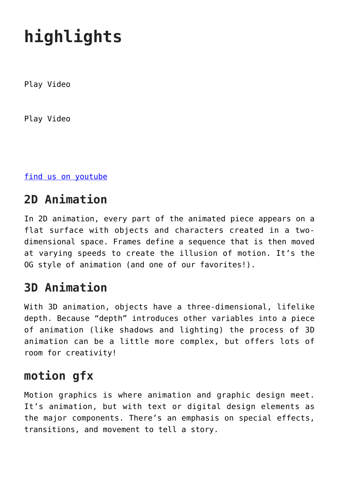# **highlights**

Play Video

Play Video

[find us on youtube](https://www.youtube.com/channel/UC0L5d2vJaZRlvTMOZfryJdQ)

### **2D Animation**

In 2D animation, every part of the animated piece appears on a flat surface with objects and characters created in a twodimensional space. Frames define a sequence that is then moved at varying speeds to create the illusion of motion. It's the OG style of animation (and one of our favorites!).

#### **3D Animation**

With 3D animation, objects have a three-dimensional, lifelike depth. Because "depth" introduces other variables into a piece of animation (like shadows and lighting) the process of 3D animation can be a little more complex, but offers lots of room for creativity!

#### **motion gfx**

Motion graphics is where animation and graphic design meet. It's animation, but with text or digital design elements as the major components. There's an emphasis on special effects, transitions, and movement to tell a story.